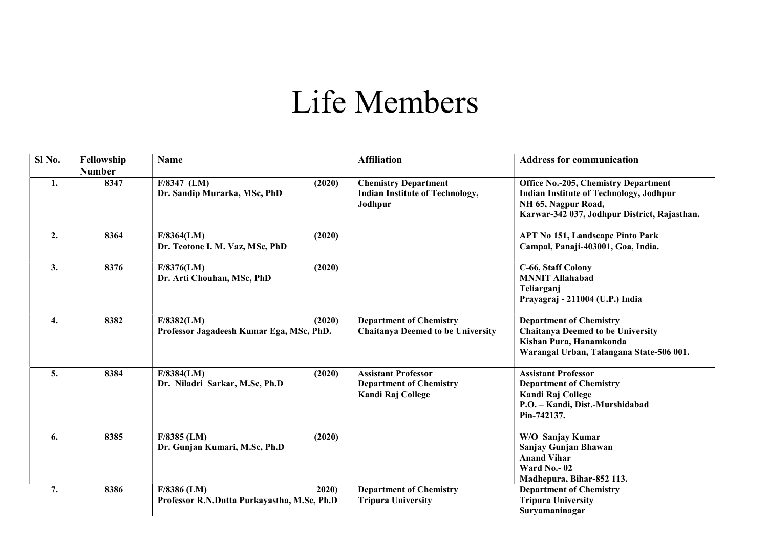## Life Members

| Sl No. | Fellowship<br><b>Number</b> | <b>Name</b>                                                          | <b>Affiliation</b>                                                                | <b>Address for communication</b>                                                                                                                                     |
|--------|-----------------------------|----------------------------------------------------------------------|-----------------------------------------------------------------------------------|----------------------------------------------------------------------------------------------------------------------------------------------------------------------|
| 1.     | 8347                        | $F/8347$ (LM)<br>(2020)<br>Dr. Sandip Murarka, MSc, PhD              | <b>Chemistry Department</b><br><b>Indian Institute of Technology,</b><br>Jodhpur  | <b>Office No.-205, Chemistry Department</b><br><b>Indian Institute of Technology, Jodhpur</b><br>NH 65, Nagpur Road,<br>Karwar-342 037, Jodhpur District, Rajasthan. |
| 2.     | 8364                        | F/8364(LM)<br>(2020)<br>Dr. Teotone I. M. Vaz, MSc, PhD              |                                                                                   | <b>APT No 151, Landscape Pinto Park</b><br>Campal, Panaji-403001, Goa, India.                                                                                        |
| 3.     | 8376                        | (2020)<br>F/8376(LM)<br>Dr. Arti Chouhan, MSc, PhD                   |                                                                                   | C-66, Staff Colony<br><b>MNNIT Allahabad</b><br>Teliarganj<br>Prayagraj - 211004 (U.P.) India                                                                        |
| 4.     | 8382                        | F/8382(LM)<br>(2020)<br>Professor Jagadeesh Kumar Ega, MSc, PhD.     | <b>Department of Chemistry</b><br><b>Chaitanya Deemed to be University</b>        | <b>Department of Chemistry</b><br><b>Chaitanya Deemed to be University</b><br>Kishan Pura, Hanamkonda<br>Warangal Urban, Talangana State-506 001.                    |
| 5.     | 8384                        | F/8384(LM)<br>(2020)<br>Dr. Niladri Sarkar, M.Sc, Ph.D               | <b>Assistant Professor</b><br><b>Department of Chemistry</b><br>Kandi Raj College | <b>Assistant Professor</b><br><b>Department of Chemistry</b><br>Kandi Raj College<br>P.O. - Kandi, Dist.-Murshidabad<br>Pin-742137.                                  |
| 6.     | 8385                        | $F/8385$ (LM)<br>(2020)<br>Dr. Gunjan Kumari, M.Sc, Ph.D             |                                                                                   | W/O Sanjay Kumar<br>Sanjay Gunjan Bhawan<br><b>Anand Vihar</b><br>Ward No. $-02$<br>Madhepura, Bihar-852 113.                                                        |
| 7.     | 8386                        | $F/8386$ (LM)<br>2020<br>Professor R.N.Dutta Purkayastha, M.Sc, Ph.D | <b>Department of Chemistry</b><br><b>Tripura University</b>                       | <b>Department of Chemistry</b><br><b>Tripura University</b><br>Survamaninagar                                                                                        |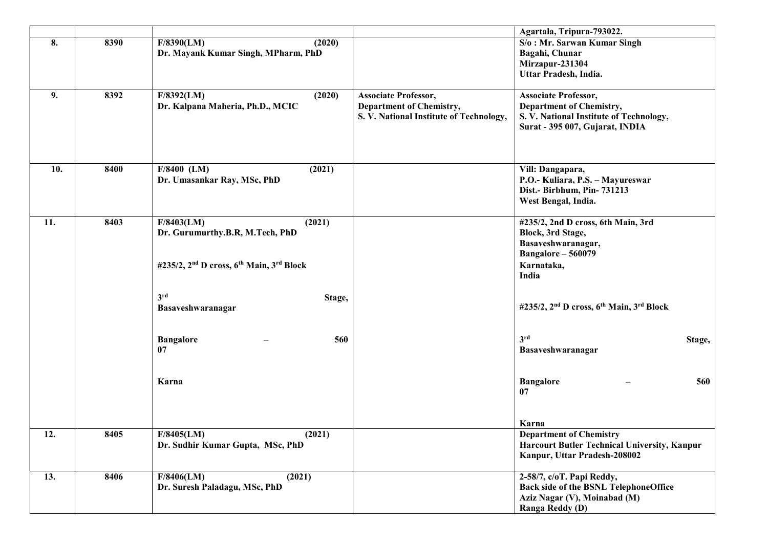|     |      |                                                                              |                                         | Agartala, Tripura-793022.                                                    |
|-----|------|------------------------------------------------------------------------------|-----------------------------------------|------------------------------------------------------------------------------|
| 8.  | 8390 | F/8390(LM)<br>(2020)                                                         |                                         | S/o: Mr. Sarwan Kumar Singh                                                  |
|     |      | Dr. Mayank Kumar Singh, MPharm, PhD                                          |                                         | Bagahi, Chunar                                                               |
|     |      |                                                                              |                                         | Mirzapur-231304                                                              |
|     |      |                                                                              |                                         | Uttar Pradesh, India.                                                        |
|     |      |                                                                              |                                         |                                                                              |
| 9.  | 8392 | F/8392(LM)<br>(2020)                                                         | <b>Associate Professor,</b>             | <b>Associate Professor,</b>                                                  |
|     |      | Dr. Kalpana Maheria, Ph.D., MCIC                                             | <b>Department of Chemistry,</b>         | <b>Department of Chemistry,</b>                                              |
|     |      |                                                                              | S. V. National Institute of Technology, | S. V. National Institute of Technology,                                      |
|     |      |                                                                              |                                         | Surat - 395 007, Gujarat, INDIA                                              |
|     |      |                                                                              |                                         |                                                                              |
|     |      |                                                                              |                                         |                                                                              |
| 10. | 8400 | $F/8400$ (LM)<br>(2021)                                                      |                                         | Vill: Dangapara,                                                             |
|     |      | Dr. Umasankar Ray, MSc, PhD                                                  |                                         | P.O.- Kuliara, P.S. - Mayureswar                                             |
|     |      |                                                                              |                                         | Dist.- Birbhum, Pin-731213                                                   |
|     |      |                                                                              |                                         | West Bengal, India.                                                          |
| 11. | 8403 | F/8403(LM)<br>(2021)                                                         |                                         | #235/2, 2nd D cross, 6th Main, 3rd                                           |
|     |      | Dr. Gurumurthy.B.R, M.Tech, PhD                                              |                                         | Block, 3rd Stage,                                                            |
|     |      |                                                                              |                                         | Basaveshwaranagar,                                                           |
|     |      |                                                                              |                                         | Bangalore - 560079                                                           |
|     |      | #235/2, 2 <sup>nd</sup> D cross, 6 <sup>th</sup> Main, 3 <sup>rd</sup> Block |                                         | Karnataka,                                                                   |
|     |      |                                                                              |                                         | India                                                                        |
|     |      | 3 <sup>rd</sup>                                                              |                                         |                                                                              |
|     |      | Stage,<br>Basaveshwaranagar                                                  |                                         | #235/2, 2 <sup>nd</sup> D cross, 6 <sup>th</sup> Main, 3 <sup>rd</sup> Block |
|     |      |                                                                              |                                         |                                                                              |
|     |      |                                                                              |                                         |                                                                              |
|     |      | <b>Bangalore</b><br>560                                                      |                                         | 3rd<br>Stage,                                                                |
|     |      | 07                                                                           |                                         | Basaveshwaranagar                                                            |
|     |      |                                                                              |                                         |                                                                              |
|     |      | Karna                                                                        |                                         | 560<br><b>Bangalore</b>                                                      |
|     |      |                                                                              |                                         | 07                                                                           |
|     |      |                                                                              |                                         |                                                                              |
|     |      |                                                                              |                                         | Karna                                                                        |
| 12. | 8405 | F/8405(LM)<br>(2021)                                                         |                                         | <b>Department of Chemistry</b>                                               |
|     |      | Dr. Sudhir Kumar Gupta, MSc, PhD                                             |                                         | <b>Harcourt Butler Technical University, Kanpur</b>                          |
|     |      |                                                                              |                                         | Kanpur, Uttar Pradesh-208002                                                 |
| 13. | 8406 | F/8406(LM)<br>(2021)                                                         |                                         | 2-58/7, c/oT. Papi Reddy,                                                    |
|     |      | Dr. Suresh Paladagu, MSc, PhD                                                |                                         | Back side of the BSNL TelephoneOffice                                        |
|     |      |                                                                              |                                         | Aziz Nagar (V), Moinabad (M)                                                 |
|     |      |                                                                              |                                         | Ranga Reddy (D)                                                              |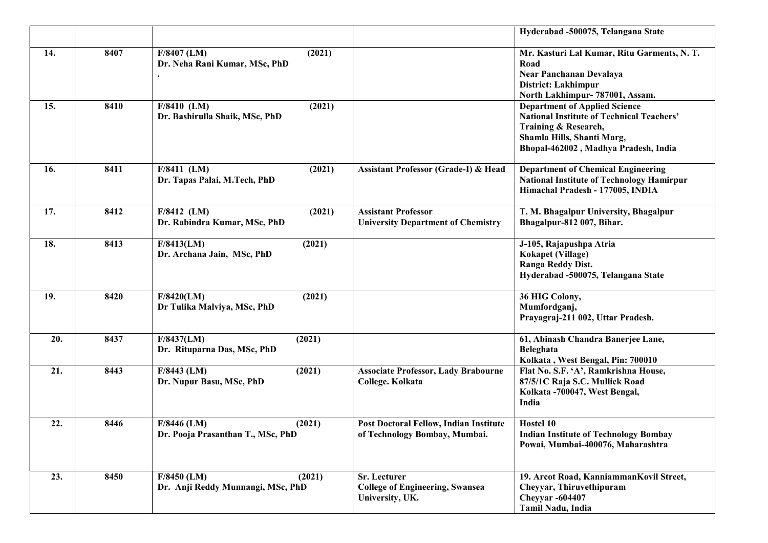|     |      |                                                              |                                                                                | Hyderabad -500075, Telangana State                                                                                                                                                     |
|-----|------|--------------------------------------------------------------|--------------------------------------------------------------------------------|----------------------------------------------------------------------------------------------------------------------------------------------------------------------------------------|
| 14. | 8407 | $F/8407$ (LM)<br>(2021)<br>Dr. Neha Rani Kumar, MSc, PhD     |                                                                                | Mr. Kasturi Lal Kumar, Ritu Garments, N. T.<br>Road<br>Near Panchanan Devalaya<br>District: Lakhimpur<br>North Lakhimpur- 787001, Assam.                                               |
| 15. | 8410 | $F/8410$ (LM)<br>(2021)<br>Dr. Bashirulla Shaik, MSc, PhD    |                                                                                | <b>Department of Applied Science</b><br><b>National Institute of Technical Teachers'</b><br>Training & Research,<br>Shamla Hills, Shanti Marg,<br>Bhopal-462002, Madhya Pradesh, India |
| 16. | 8411 | $F/8411$ (LM)<br>(2021)<br>Dr. Tapas Palai, M.Tech, PhD      | Assistant Professor (Grade-I) & Head                                           | <b>Department of Chemical Engineering</b><br><b>National Institute of Technology Hamirpur</b><br>Himachal Pradesh - 177005, INDIA                                                      |
| 17. | 8412 | $F/8412$ (LM)<br>(2021)<br>Dr. Rabindra Kumar, MSc, PhD      | <b>Assistant Professor</b><br><b>University Department of Chemistry</b>        | T. M. Bhagalpur University, Bhagalpur<br>Bhagalpur-812 007, Bihar.                                                                                                                     |
| 18. | 8413 | F/8413(LM)<br>(2021)<br>Dr. Archana Jain, MSc, PhD           |                                                                                | J-105, Rajapushpa Atria<br>Kokapet (Village)<br>Ranga Reddy Dist.<br>Hyderabad -500075, Telangana State                                                                                |
| 19. | 8420 | (2021)<br>F/8420(LM)<br>Dr Tulika Malviya, MSc, PhD          |                                                                                | 36 HIG Colony,<br>Mumfordganj,<br>Prayagraj-211 002, Uttar Pradesh.                                                                                                                    |
| 20. | 8437 | F/8437(LM)<br>(2021)<br>Dr. Rituparna Das, MSc, PhD          |                                                                                | 61, Abinash Chandra Banerjee Lane,<br>Beleghata<br>Kolkata, West Bengal, Pin: 700010                                                                                                   |
| 21. | 8443 | $F/8443$ (LM)<br>(2021)<br>Dr. Nupur Basu, MSc, PhD          | <b>Associate Professor, Lady Brabourne</b><br>College. Kolkata                 | Flat No. S.F. 'A', Ramkrishna House,<br>87/5/1C Raja S.C. Mullick Road<br>Kolkata -700047, West Bengal,<br>India                                                                       |
| 22. | 8446 | $F/8446$ (LM)<br>(2021)<br>Dr. Pooja Prasanthan T., MSc, PhD | <b>Post Doctoral Fellow, Indian Institute</b><br>of Technology Bombay, Mumbai. | Hostel 10<br><b>Indian Institute of Technology Bombay</b><br>Powai, Mumbai-400076, Maharashtra                                                                                         |
| 23. | 8450 | $F/8450$ (LM)<br>(2021)<br>Dr. Anji Reddy Munnangi, MSc, PhD | Sr. Lecturer<br><b>College of Engineering, Swansea</b><br>University, UK.      | 19. Arcot Road, KanniammanKovil Street,<br>Cheyyar, Thiruvethipuram<br><b>Cheyyar</b> -604407<br><b>Tamil Nadu, India</b>                                                              |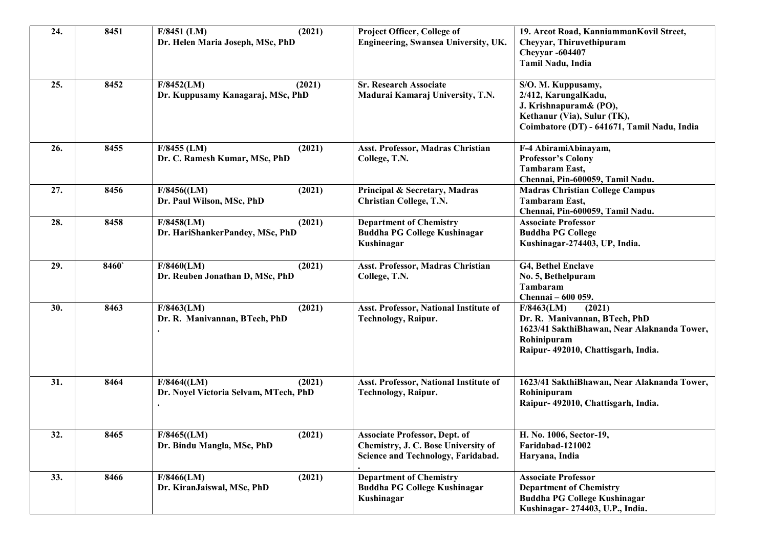| 24. | 8451 | F/8451 (LM)<br>(2021)<br>Dr. Helen Maria Joseph, MSc, PhD     | Project Officer, College of<br>Engineering, Swansea University, UK.                                               | 19. Arcot Road, KanniammanKovil Street,<br>Cheyyar, Thiruvethipuram<br><b>Cheyyar -604407</b><br>Tamil Nadu, India                                         |
|-----|------|---------------------------------------------------------------|-------------------------------------------------------------------------------------------------------------------|------------------------------------------------------------------------------------------------------------------------------------------------------------|
| 25. | 8452 | F/8452(LM)<br>(2021)<br>Dr. Kuppusamy Kanagaraj, MSc, PhD     | <b>Sr. Research Associate</b><br>Madurai Kamaraj University, T.N.                                                 | S/O. M. Kuppusamy,<br>2/412, KarungalKadu,<br>J. Krishnapuram& (PO),<br>Kethanur (Via), Sulur (TK),<br>Coimbatore (DT) - 641671, Tamil Nadu, India         |
| 26. | 8455 | $F/8455$ (LM)<br>(2021)<br>Dr. C. Ramesh Kumar, MSc, PhD      | Asst. Professor, Madras Christian<br>College, T.N.                                                                | F-4 AbiramiAbinayam,<br><b>Professor's Colony</b><br><b>Tambaram East,</b><br>Chennai, Pin-600059, Tamil Nadu.                                             |
| 27. | 8456 | (2021)<br>$F/8456$ ((LM)<br>Dr. Paul Wilson, MSc, PhD         | Principal & Secretary, Madras<br><b>Christian College, T.N.</b>                                                   | <b>Madras Christian College Campus</b><br>Tambaram East,<br>Chennai, Pin-600059, Tamil Nadu.                                                               |
| 28. | 8458 | F/8458(LM)<br>(2021)<br>Dr. HariShankerPandey, MSc, PhD       | <b>Department of Chemistry</b><br><b>Buddha PG College Kushinagar</b><br>Kushinagar                               | <b>Associate Professor</b><br><b>Buddha PG College</b><br>Kushinagar-274403, UP, India.                                                                    |
| 29. | 8460 | F/8460(LM)<br>(2021)<br>Dr. Reuben Jonathan D, MSc, PhD       | Asst. Professor, Madras Christian<br>College, T.N.                                                                | G4, Bethel Enclave<br>No. 5, Bethelpuram<br>Tambaram<br>Chennai - 600 059.                                                                                 |
| 30. | 8463 | F/8463(LM)<br>(2021)<br>Dr. R. Manivannan, BTech, PhD         | Asst. Professor, National Institute of<br><b>Technology, Raipur.</b>                                              | (2021)<br>F/8463(LM)<br>Dr. R. Manivannan, BTech, PhD<br>1623/41 SakthiBhawan, Near Alaknanda Tower,<br>Rohinipuram<br>Raipur- 492010, Chattisgarh, India. |
| 31. | 8464 | F/8464(LM)<br>(2021)<br>Dr. Noyel Victoria Selvam, MTech, PhD | Asst. Professor, National Institute of<br><b>Technology, Raipur.</b>                                              | 1623/41 SakthiBhawan, Near Alaknanda Tower,<br>Rohinipuram<br>Raipur- 492010, Chattisgarh, India.                                                          |
| 32. | 8465 | $F/8465$ ((LM)<br>(2021)<br>Dr. Bindu Mangla, MSc, PhD        | <b>Associate Professor, Dept. of</b><br>Chemistry, J. C. Bose University of<br>Science and Technology, Faridabad. | H. No. 1006, Sector-19,<br>Faridabad-121002<br>Haryana, India                                                                                              |
| 33. | 8466 | (2021)<br>F/8466(LM)<br>Dr. KiranJaiswal, MSc, PhD            | <b>Department of Chemistry</b><br><b>Buddha PG College Kushinagar</b><br>Kushinagar                               | <b>Associate Professor</b><br><b>Department of Chemistry</b><br>Buddha PG College Kushinagar<br>Kushinagar-274403, U.P., India.                            |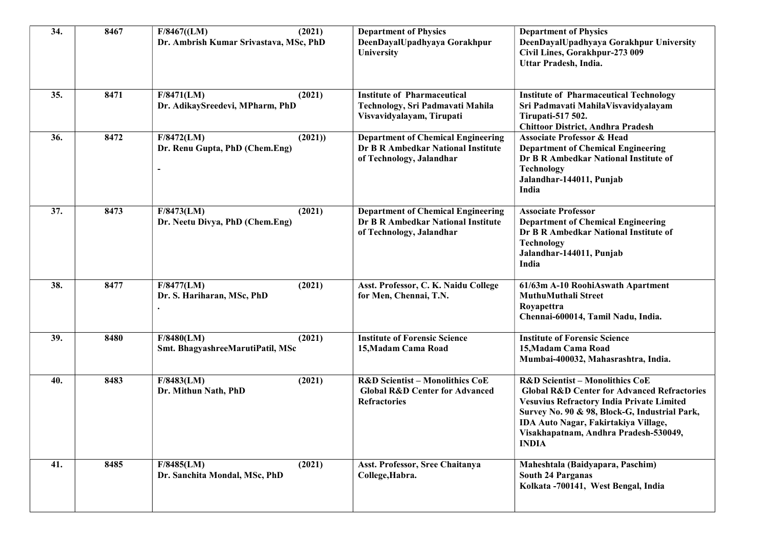| 34. | 8467 | F/8467(LM)<br>(2021)<br>Dr. Ambrish Kumar Srivastava, MSc, PhD | <b>Department of Physics</b><br>DeenDayalUpadhyaya Gorakhpur<br>University                                     | <b>Department of Physics</b><br>DeenDayalUpadhyaya Gorakhpur University<br>Civil Lines, Gorakhpur-273 009<br>Uttar Pradesh, India.                                                                                                                                                                         |
|-----|------|----------------------------------------------------------------|----------------------------------------------------------------------------------------------------------------|------------------------------------------------------------------------------------------------------------------------------------------------------------------------------------------------------------------------------------------------------------------------------------------------------------|
| 35. | 8471 | F/8471(LM)<br>(2021)<br>Dr. AdikaySreedevi, MPharm, PhD        | <b>Institute of Pharmaceutical</b><br>Technology, Sri Padmavati Mahila<br>Visvavidyalayam, Tirupati            | <b>Institute of Pharmaceutical Technology</b><br>Sri Padmavati MahilaVisvavidyalayam<br>Tirupati-517 502.<br><b>Chittoor District, Andhra Pradesh</b>                                                                                                                                                      |
| 36. | 8472 | (2021)<br>F/8472(LM)<br>Dr. Renu Gupta, PhD (Chem.Eng)         | <b>Department of Chemical Engineering</b><br>Dr B R Ambedkar National Institute<br>of Technology, Jalandhar    | <b>Associate Professor &amp; Head</b><br><b>Department of Chemical Engineering</b><br>Dr B R Ambedkar National Institute of<br>Technology<br>Jalandhar-144011, Punjab<br>India                                                                                                                             |
| 37. | 8473 | F/8473(LM)<br>(2021)<br>Dr. Neetu Divya, PhD (Chem.Eng)        | <b>Department of Chemical Engineering</b><br>Dr B R Ambedkar National Institute<br>of Technology, Jalandhar    | <b>Associate Professor</b><br><b>Department of Chemical Engineering</b><br>Dr B R Ambedkar National Institute of<br>Technology<br>Jalandhar-144011, Punjab<br>India                                                                                                                                        |
| 38. | 8477 | F/8477(LM)<br>(2021)<br>Dr. S. Hariharan, MSc, PhD             | Asst. Professor, C. K. Naidu College<br>for Men, Chennai, T.N.                                                 | 61/63m A-10 RoohiAswath Apartment<br>MuthuMuthali Street<br>Royapettra<br>Chennai-600014, Tamil Nadu, India.                                                                                                                                                                                               |
| 39. | 8480 | F/8480(LM)<br>(2021)<br>Smt. BhagyashreeMarutiPatil, MSc       | <b>Institute of Forensic Science</b><br>15, Madam Cama Road                                                    | <b>Institute of Forensic Science</b><br>15, Madam Cama Road<br>Mumbai-400032, Mahasrashtra, India.                                                                                                                                                                                                         |
| 40. | 8483 | (2021)<br>F/8483(LM)<br>Dr. Mithun Nath, PhD                   | <b>R&amp;D Scientist - Monolithics CoE</b><br><b>Global R&amp;D Center for Advanced</b><br><b>Refractories</b> | <b>R&amp;D Scientist - Monolithics CoE</b><br><b>Global R&amp;D Center for Advanced Refractories</b><br><b>Vesuvius Refractory India Private Limited</b><br>Survey No. 90 & 98, Block-G, Industrial Park,<br>IDA Auto Nagar, Fakirtakiya Village,<br>Visakhapatnam, Andhra Pradesh-530049,<br><b>INDIA</b> |
| 41. | 8485 | F/8485(LM)<br>(2021)<br>Dr. Sanchita Mondal, MSc, PhD          | Asst. Professor, Sree Chaitanya<br>College, Habra.                                                             | Maheshtala (Baidyapara, Paschim)<br><b>South 24 Parganas</b><br>Kolkata -700141, West Bengal, India                                                                                                                                                                                                        |